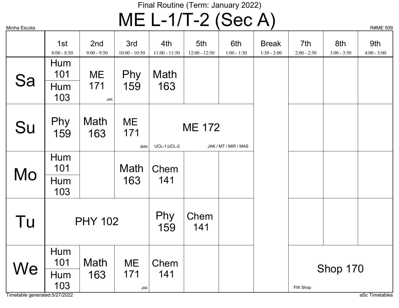# $MSE_{\text{Scola}}$   $ME$   $L-1/T-2$   $(Sec A)$

|    |                      |                      |                         |                        |                        |                      |                               |                      |                      | $\cdots$             |
|----|----------------------|----------------------|-------------------------|------------------------|------------------------|----------------------|-------------------------------|----------------------|----------------------|----------------------|
|    | 1st<br>$8:00 - 8:50$ | 2nd<br>$9:00 - 9:50$ | 3rd<br>$10:00 - 10:50$  | 4th<br>$11:00 - 11:50$ | 5th<br>$12:00 - 12:50$ | 6th<br>$1:00 - 1:30$ | <b>Break</b><br>$1:30 - 2:00$ | 7th<br>$2:00 - 2:50$ | 8th<br>$3:00 - 3:50$ | 9th<br>$4:00 - 5:00$ |
| Sa | Hum<br>101           | ME                   | Phy                     | Math                   |                        |                      |                               |                      |                      |                      |
|    | Hum<br>103           | 171<br><b>JAK</b>    | 159                     | 163                    |                        |                      |                               |                      |                      |                      |
| Su | Phy<br>159           | Math<br>163          | ME<br>171<br><b>SMS</b> | UCL-1, UCL-2           | <b>ME 172</b>          | JAK / MT / MIR / MAS |                               |                      |                      |                      |
| Mo | Hum<br>101           |                      | Math                    | Chem                   |                        |                      |                               |                      |                      |                      |
|    | Hum<br>103           |                      | 163                     | 141                    |                        |                      |                               |                      |                      |                      |
| Tu |                      | <b>PHY 102</b>       |                         | Phy<br>159             | Chem<br>141            |                      |                               |                      |                      |                      |
| We | Hum<br>101           | Math                 | ME                      | Chem                   |                        |                      |                               |                      | Shop 170             |                      |
|    | Hum<br>103           | 163                  | 171<br><b>JAK</b>       | 141                    |                        |                      |                               | FW Shop              |                      |                      |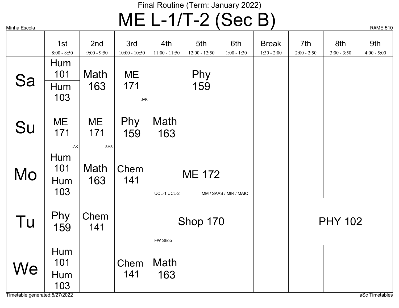# $MSE_{\text{Scola}}$   $ME$   $L-1/T-2$   $(Sec B)$

|    | 1st<br>$8:00 - 8:50$     | 2nd<br>$9:00 - 9:50$    | 3rd<br>$10:00 - 10:50$ | 4th<br>$11:00 - 11:50$                                  | 5th<br>$12:00 - 12:50$ | 6th<br>$1:00 - 1:30$ | <b>Break</b><br>$1:30 - 2:00$ | 7th<br>$2:00 - 2:50$ | 8th<br>$3:00 - 3:50$ | 9th<br>$4:00 - 5:00$ |
|----|--------------------------|-------------------------|------------------------|---------------------------------------------------------|------------------------|----------------------|-------------------------------|----------------------|----------------------|----------------------|
| Sa | Hum<br>101               | Math                    | <b>ME</b>              |                                                         | Phy                    |                      |                               |                      |                      |                      |
|    | Hum<br>103               | 163                     | 171<br><b>JAK</b>      |                                                         | 159                    |                      |                               |                      |                      |                      |
| Su | ME<br>171<br><b>JAK</b>  | ME<br>171<br><b>SMS</b> | Phy<br>159             | Math<br>163                                             |                        |                      |                               |                      |                      |                      |
| Mo | Hum<br>101<br>Hum<br>103 | Math<br>163             | Chem<br>141            | <b>ME 172</b><br>UCL-1, UCL-2<br>MM / SAAS / MIR / MAIO |                        |                      |                               |                      |                      |                      |
| Tu | Phy<br>159               | Chem<br>141             |                        | FW Shop                                                 | Shop 170               |                      |                               |                      | <b>PHY 102</b>       |                      |
| We | Hum<br>101               |                         | Chem                   | Math                                                    |                        |                      |                               |                      |                      |                      |
|    | Hum<br>103               |                         | 141                    | 163                                                     |                        |                      |                               |                      |                      |                      |

Timetable generated:5/27/2022 and and the state of the state of the state of the state of the state of the state of the state of the state of the state of the state of the state of the state of the state of the state of th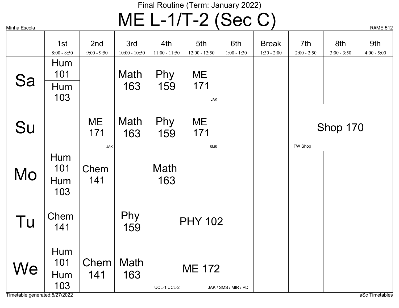# $MSE_{\text{Scola}}$   $ME$   $L-1/T-2$   $(Sec C)$

|                                |                      |                         |                        |                        |                        |                      | $\mathbf{z}$                  |                      |                      | $15$ $\pi$ $\mu$ $\mu$ $\mu$ |
|--------------------------------|----------------------|-------------------------|------------------------|------------------------|------------------------|----------------------|-------------------------------|----------------------|----------------------|------------------------------|
|                                | 1st<br>$8:00 - 8:50$ | 2nd<br>$9:00 - 9:50$    | 3rd<br>$10:00 - 10:50$ | 4th<br>$11:00 - 11:50$ | 5th<br>$12:00 - 12:50$ | 6th<br>$1:00 - 1:30$ | <b>Break</b><br>$1:30 - 2:00$ | 7th<br>$2:00 - 2:50$ | 8th<br>$3:00 - 3:50$ | 9th<br>$4:00 - 5:00$         |
| Sa                             | Hum<br>101           |                         | Math                   | Phy                    | ME                     |                      |                               |                      |                      |                              |
|                                | Hum<br>103           |                         | 163                    | 159                    | 171<br><b>JAK</b>      |                      |                               |                      |                      |                              |
| Su                             |                      | ME<br>171<br><b>JAK</b> | Math<br>163            | Phy<br>159             | ME<br>171<br>SMS       |                      |                               | FW Shop              | Shop 170             |                              |
| Mo                             | Hum<br>101           | Chem                    |                        | Math                   |                        |                      |                               |                      |                      |                              |
|                                | Hum<br>103           | 141                     |                        | 163                    |                        |                      |                               |                      |                      |                              |
| Tu                             | Chem<br>141          |                         | Phy<br>159             |                        | <b>PHY 102</b>         |                      |                               |                      |                      |                              |
| We                             | Hum<br>101           | Chem                    | Math                   |                        | <b>ME 172</b>          |                      |                               |                      |                      |                              |
| Timetable generated: 5/27/2022 | Hum<br>103           | 141                     | 163                    | UCL-1, UCL-2           |                        | JAK / SMS / MIR / PD |                               |                      |                      | aSc Timetables               |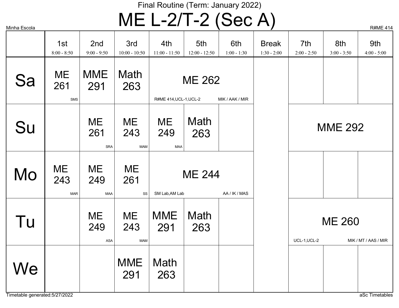# $MSE_{\text{Scola}}$   $MSE$   $L-2/T-2$   $(Sec A)$

| שוטטעם בוויוויו |                                |                                  |                                |                                                  |                        |                      |                               |                      |                      | $1$ VIIVIL $\pm$ 1.  |
|-----------------|--------------------------------|----------------------------------|--------------------------------|--------------------------------------------------|------------------------|----------------------|-------------------------------|----------------------|----------------------|----------------------|
|                 | 1st<br>$8:00 - 8:50$           | 2 <sub>nd</sub><br>$9:00 - 9:50$ | 3rd<br>$10:00 - 10:50$         | 4th<br>$11:00 - 11:50$                           | 5th<br>$12:00 - 12:50$ | 6th<br>$1:00 - 1:30$ | <b>Break</b><br>$1:30 - 2:00$ | 7th<br>$2:00 - 2:50$ | 8th<br>$3:00 - 3:50$ | 9th<br>$4:00 - 5:00$ |
| Sa              | <b>ME</b><br>261<br><b>SMS</b> | <b>MME</b><br>291                | Math<br>263                    | R#ME 414, UCL-1, UCL-2                           | <b>ME 262</b>          | MIK / AAK / MIR      |                               |                      |                      |                      |
| Su              |                                | ME<br>261<br><b>SRA</b>          | <b>ME</b><br>243<br><b>MAM</b> | ME<br>249<br><b>MAA</b>                          | Math<br>263            |                      |                               |                      | <b>MME 292</b>       |                      |
| Mo              | <b>ME</b><br>243<br><b>MAR</b> | ME<br>249<br><b>MAA</b>          | ME<br>261<br>SS                | <b>ME 244</b><br>SM Lab, AM Lab<br>AA / IK / MAS |                        |                      |                               |                      |                      |                      |
| Tu              |                                | ME<br>249<br><b>ASA</b>          | <b>ME</b><br>243<br><b>MAM</b> | <b>MME</b><br>291                                | Math<br>263            |                      |                               | UCL-1, UCL-2         | <b>ME 260</b>        | MIK / MT / AAS / MIR |
| We              |                                |                                  | <b>MME</b><br>291              | Math<br>263                                      |                        |                      |                               |                      |                      |                      |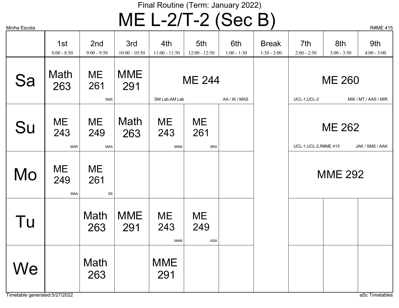# $MSE_{\text{Scola}}$   $ME$   $L$ –2/T–2 (Sec B)

ME 261 SMS MME 291 Math  $263$  261 291 ME 244 SM Lab, AM Lab AA / IK / MAS ME 260 UCL-1,UCL-2 MIK / MT / AAS / MIR **ME** 261 SRA ME 243 MAM ME 249 MAA Math 263 ME 243 MAR ME 262 UCL-1, UCL-2, R#ME 415 JAK / SMS / AAK **ME** 261 SS ME 249 MAA MME 292 ME 243 MAM ME 249 ASA MME 291 Math 263 MME 291 Math 263 Sa Su Mo Tu **We** 1st 8:00 - 8:50 2nd 9:00 - 9:50 3rd 10:00 - 10:50 4th 11:00 - 11:50 5th 12:00 - 12:50 6th 1:00 - 1:30 Break 1:30 - 2:00 7th  $2:00 - 2:50$ 8th 3:00 - 3:50 9th  $4:00 - 5:00$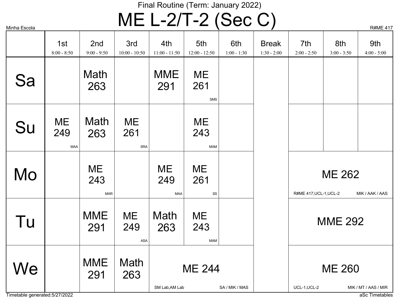# $MSE_{\text{Scola}}$   $MSE$   $L-2/T-2$   $(Sec C)$

| Minha Escola |
|--------------|
|              |

| ivii⊞ia ⊏scola                |                                |                         |                                |                         |                                |                      | $\mathbf{z}$                  |                                                       |                                                             | $NHIVIE$ 4 $H$       |  |
|-------------------------------|--------------------------------|-------------------------|--------------------------------|-------------------------|--------------------------------|----------------------|-------------------------------|-------------------------------------------------------|-------------------------------------------------------------|----------------------|--|
|                               | 1st<br>$8:00 - 8:50$           | 2nd<br>$9:00 - 9:50$    | 3rd<br>$10:00 - 10:50$         | 4th<br>$11:00 - 11:50$  | 5th<br>$12:00 - 12:50$         | 6th<br>$1:00 - 1:30$ | <b>Break</b><br>$1:30 - 2:00$ | 7th<br>$2:00 - 2:50$                                  | 8th<br>$3:00 - 3:50$                                        | 9th<br>$4:00 - 5:00$ |  |
| Sa                            |                                | Math<br>263             |                                | <b>MME</b><br>291       | <b>ME</b><br>261<br><b>SMS</b> |                      |                               |                                                       |                                                             |                      |  |
| Su                            | <b>ME</b><br>249<br><b>MAA</b> | Math<br>263             | <b>ME</b><br>261<br><b>SRA</b> |                         | ME<br>243<br><b>MAM</b>        |                      |                               |                                                       |                                                             |                      |  |
| Mo                            |                                | ME<br>243<br><b>MAR</b> |                                | ME<br>249<br><b>MAA</b> | ME<br>261<br>SS                |                      |                               |                                                       | <b>ME 262</b>                                               |                      |  |
| Tu                            |                                | <b>MME</b><br>291       | <b>ME</b><br>249<br>ASA        | Math<br>263             | ME<br>243<br><b>MAM</b>        |                      |                               |                                                       | R#ME 417, UCL-1, UCL-2<br>MIK / AAK / AAS<br><b>MME 292</b> |                      |  |
| We                            |                                | <b>MME</b><br>291       | Math<br>263                    | SM Lab, AM Lab          | <b>ME 244</b>                  | SA / MIK / MAS       |                               | <b>ME 260</b><br>UCL-1, UCL-2<br>MIK / MT / AAS / MIR |                                                             |                      |  |
| Timetable generated:5/27/2022 |                                |                         |                                |                         |                                |                      |                               |                                                       |                                                             | aSc Timetables       |  |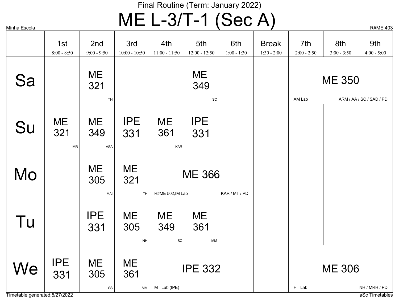## $MSE_{\text{Scola}}$   $ME$   $L$ –3/T–1 (Sec A)

Timetable generated:5/27/2022 and the state of the state of the state of the state of the state of the state of the state of the state of the state of the state of the state of the state of the state of the state of the st ME 321 TH ME 349 **SC** ME 350 AM Lab ARM / AA / SC / SAD / PD ME 321 MR ME 361 KAR IPE 331 IPE 331 ME 349 ASA ME 321 TH ME 305 MAI ME 366 R#ME 502, IM Lab KAR / MT / PD ME 305 NH **ME** 361 MM IPE 331 ME 349 SC IPE 332 MT Lab (IPE) ME 305 SS ME 361 MM IPE  $331$   $305$   $361$  IPE 332 1 HT Lab NH / MRH / PD Sa Su Mo Tu **We** 1st 8:00 - 8:50 2nd 9:00 - 9:50 3rd 10:00 - 10:50 4th 11:00 - 11:50 5th 12:00 - 12:50 6th 1:00 - 1:30 Break 1:30 - 2:00 7th 2:00 - 2:50 8th 3:00 - 3:50 9th  $4:00 - 5:00$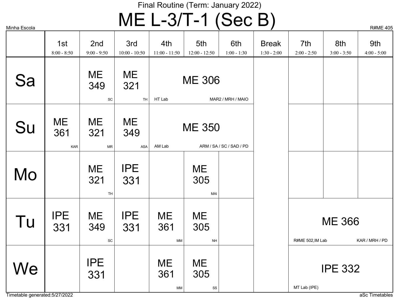# $MSE_{\text{Scola}}$   $ME$   $L$ –3/T–1 (Sec B)

| iviii ii ia ⊏s∪∪ia |                         |                        |                        |                               | ◥                        |                          | $\mathbf{z}$                  |                      |                      | $N$ $N$ $N$ $N$ $N$ $N$ $N$ |
|--------------------|-------------------------|------------------------|------------------------|-------------------------------|--------------------------|--------------------------|-------------------------------|----------------------|----------------------|-----------------------------|
|                    | 1st<br>$8:00 - 8:50$    | 2nd<br>$9:00 - 9:50$   | 3rd<br>$10:00 - 10:50$ | 4th<br>$11:00 - 11:50$        | 5th<br>$12:00 - 12:50$   | 6th<br>$1:00 - 1:30$     | <b>Break</b><br>$1:30 - 2:00$ | 7th<br>$2:00 - 2:50$ | 8th<br>$3:00 - 3:50$ | 9th<br>$4:00 - 5:00$        |
| Sa                 |                         | ME<br>349<br>SC        | ME<br>321<br>TH        | HT Lab                        | <b>ME 306</b>            | MAR2 / MRH / MAIO        |                               |                      |                      |                             |
| Su                 | <b>ME</b><br>361<br>KAR | <b>ME</b><br>321<br>MR | ME<br>349<br>ASA       | AM Lab                        | <b>ME 350</b>            | ARM / SA / SC / SAD / PD |                               |                      |                      |                             |
| Mo                 |                         | ME<br>321<br>TH        | <b>IPE</b><br>331      |                               | ME<br>305<br>MAI         |                          |                               |                      |                      |                             |
| Tu                 | <b>IPE</b><br>331       | ME<br>349<br>SC        | <b>IPE</b><br>331      | <b>ME</b><br>361<br><b>MM</b> | ME<br>305<br><b>NH</b>   |                          |                               | R#ME 502, IM Lab     | <b>ME 366</b>        | KAR / MRH / PD              |
| We                 |                         | <b>IPE</b><br>331      |                        | ME<br>361<br><b>MM</b>        | ME<br>305<br>$_{\rm SS}$ |                          |                               | MT Lab (IPE)         | <b>IPE 332</b>       |                             |

Timetable generated:5/27/2022 and and the state of the state of the state of the state of the state of the state of the state of the state of the state of the state of the state of the state of the state of the state of th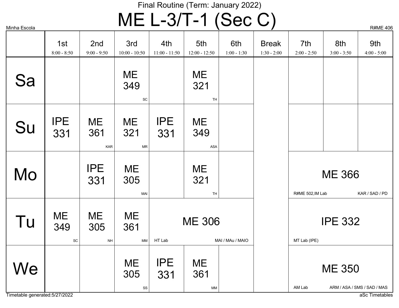## $MSE_{\text{Scola}}$   $ME$   $L-3/T-1$   $(Sec C)$

| ivii⊓iia ⊏scoia |                      |                         |                               |                        |                               |                      | $\mathbf{z}$                  |                      |                                 | <b>NHIVIC 40</b>            |  |
|-----------------|----------------------|-------------------------|-------------------------------|------------------------|-------------------------------|----------------------|-------------------------------|----------------------|---------------------------------|-----------------------------|--|
|                 | 1st<br>$8:00 - 8:50$ | 2nd<br>$9:00 - 9:50$    | 3rd<br>$10:00 - 10:50$        | 4th<br>$11:00 - 11:50$ | 5th<br>$12:00 - 12:50$        | 6th<br>$1:00 - 1:30$ | <b>Break</b><br>$1:30 - 2:00$ | 7th<br>$2:00 - 2:50$ | 8th<br>$3:00 - 3:50$            | 9th<br>$4:00 - 5:00$        |  |
| Sa              |                      |                         | <b>ME</b><br>349<br>SC        |                        | <b>ME</b><br>321<br>TH        |                      |                               |                      |                                 |                             |  |
| Su              | <b>IPE</b><br>331    | ME<br>361<br><b>KAR</b> | <b>ME</b><br>321<br><b>MR</b> | <b>IPE</b><br>331      | ME<br>349<br>ASA              |                      |                               |                      |                                 |                             |  |
| Mo              |                      | <b>IPE</b><br>331       | <b>ME</b><br>305<br>MAI       |                        | ME<br>321<br>TH               |                      |                               | R#ME 502, IM Lab     | <b>ME 366</b><br>KAR / SAD / PD |                             |  |
| Tu              | ME<br>349<br>SC      | ME<br>305<br><b>NH</b>  | <b>ME</b><br>361<br>MM        | HT Lab                 | <b>ME 306</b>                 | MAI / MAu / MAIO     |                               | MT Lab (IPE)         | <b>IPE 332</b>                  |                             |  |
| We              |                      |                         | <b>ME</b><br>305<br>SS        | <b>IPE</b><br>331      | <b>ME</b><br>361<br><b>MM</b> |                      |                               | AM Lab               | <b>ME 350</b>                   | ARM / ASA / SMS / SAD / MAS |  |

Timetable generated:5/27/2022 and and the state of the state of the state of the state of the state of the state of the state of the state of the state of the state of the state of the state of the state of the state of th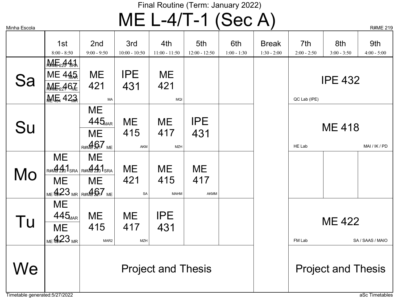$\mathsf{ME}\ \mathsf{L}\text{-}4/\mathsf{T}\text{-}1\ \textcolor{red}{(\mathsf{Sec}\ \mathsf{A})} \qquad \qquad \mathsf{R}\text{-}4\ \textcolor{red}{\mathsf{R}\text{-}4\ \text{R}\text{-}1}$ 

| שוטטפ⊐ שווווי                       |                                                             |                                                                                             |                         |                           |                        |                      |                               |                                             |                      | 15701L 210           |  |
|-------------------------------------|-------------------------------------------------------------|---------------------------------------------------------------------------------------------|-------------------------|---------------------------|------------------------|----------------------|-------------------------------|---------------------------------------------|----------------------|----------------------|--|
|                                     | 1st<br>$8:00 - 8:50$                                        | 2nd<br>$9:00 - 9:50$                                                                        | 3rd<br>$10:00 - 10:50$  | 4th<br>$11:00 - 11:50$    | 5th<br>$12:00 - 12:50$ | 6th<br>$1:00 - 1:30$ | <b>Break</b><br>$1:30 - 2:00$ | 7th<br>$2:00 - 2:50$                        | 8th<br>$3:00 - 3:50$ | 9th<br>$4:00 - 5:00$ |  |
| Sa                                  | $M = 441$<br>ME 445<br><b>ME2467E</b><br><b>ME 423</b>      | ME<br>421<br>MA                                                                             | <b>IPE</b><br>431       | ME<br>421<br><b>MQI</b>   |                        |                      |                               | QC Lab (IPE)                                | <b>IPE 432</b>       |                      |  |
| Su                                  |                                                             | ME<br>445 <sub>MAR</sub><br>ME<br>R#MED <sub>17</sub> ME                                    | ME<br>415<br>AKM        | ME<br>417<br><b>MZH</b>   | <b>IPE</b><br>431      |                      |                               | HE Lab                                      | <b>ME 418</b>        | MAI / IK / PD        |  |
| Mo                                  | ME<br><b>ME</b>                                             | ME<br>$R#M$ $4201$ SRA $R#M$ $4201$ SRA<br>ME.<br>$_{\text{ME}}$ 423 MR R#ME $\text{Q}7$ ME | <b>ME</b><br>421<br>SA  | ME<br>415<br><b>MAHM</b>  | ME<br>417<br>AKMM      |                      |                               |                                             |                      |                      |  |
| Tu                                  | <b>ME</b><br>$445_{\text{MAR}}$<br><b>ME</b><br>$_{ME}$ 423 | ME<br>415<br>MAR2                                                                           | ME<br>417<br><b>MZH</b> | <b>IPE</b><br>431         |                        |                      |                               | FM Lab                                      | <b>ME 422</b>        | SA / SAAS / MAIO     |  |
| We<br>Timetable generated:5/27/2022 |                                                             |                                                                                             |                         | <b>Project and Thesis</b> |                        |                      |                               | <b>Project and Thesis</b><br>aSc Timetables |                      |                      |  |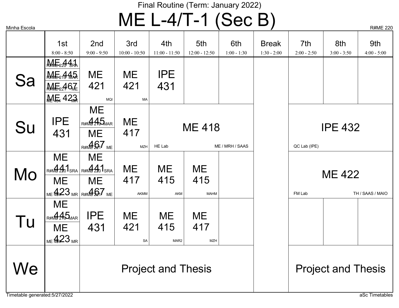## $MSE_{\text{Scola}}$   $ME$   $L$ –4/T–1 (Sec B)

| Minha Escola                         |                                                                                                                     |                                                    |                                |                               |                          |                      | $\prime$                      |                      |                                   | <b>R#ME 220</b>      |  |
|--------------------------------------|---------------------------------------------------------------------------------------------------------------------|----------------------------------------------------|--------------------------------|-------------------------------|--------------------------|----------------------|-------------------------------|----------------------|-----------------------------------|----------------------|--|
|                                      | 1st<br>$8:00 - 8:50$                                                                                                | 2nd<br>$9:00 - 9:50$                               | 3rd<br>$10:00 - 10:50$         | 4th<br>$11:00 - 11:50$        | 5th<br>$12:00 - 12:50$   | 6th<br>$1:00 - 1:30$ | <b>Break</b><br>$1:30 - 2:00$ | 7th<br>$2:00 - 2:50$ | 8th<br>$3:00 - 3:50$              | 9th<br>$4:00 - 5:00$ |  |
| Sa                                   | $M \varepsilon_2 441$<br>$M = 445$<br><b>ME2467</b><br><b>ME 423</b>                                                | ME<br>421<br><b>MQI</b>                            | ME<br>421<br>MA                | <b>IPE</b><br>431             |                          |                      |                               |                      |                                   |                      |  |
| Su                                   | <b>IPE</b><br>431                                                                                                   | ME<br>R#ME 215 MAR<br>ME<br>R#MED <sub>17</sub> ME | <b>ME</b><br>417<br><b>MZH</b> | HE Lab                        | <b>ME 418</b>            | ME / MRH / SAAS      |                               | QC Lab (IPE)         | <b>IPE 432</b>                    |                      |  |
| Mo                                   | ME<br>$R#M\oplus 2201$ SRA R#M $\oplus 2201$ SRA<br><b>ME</b><br>$_{\text{ME}}$ 423 MR R#MP $\text{Q7}_{\text{ME}}$ | ME<br>ME                                           | ME<br>417<br><b>AKMM</b>       | ME<br>415<br><b>AKM</b>       | ME<br>415<br><b>MAHM</b> |                      |                               | FM Lab               | <b>ME 422</b><br>TH / SAAS / MAIO |                      |  |
| Tu                                   | <b>ME</b><br>R#ME 25MAR<br>ME<br>$_{ME}$ 423                                                                        | <b>IPE</b><br>431                                  | <b>ME</b><br>421<br>SA         | ME<br>415<br>MAR <sub>2</sub> | ME<br>417<br><b>MZH</b>  |                      |                               |                      |                                   |                      |  |
| We<br>Timetable generated: 5/27/2022 |                                                                                                                     |                                                    |                                | <b>Project and Thesis</b>     |                          |                      |                               |                      | <b>Project and Thesis</b>         | aSc Timetables       |  |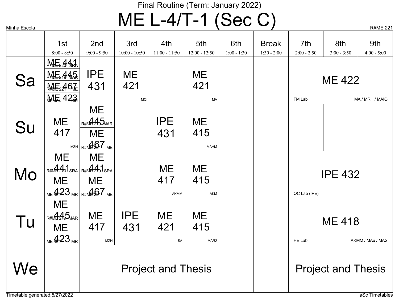$\mathsf{ME}\ \mathsf{L}\text{-}4/\mathsf{T}\text{-}1\ \text{(Sec }\mathrm{C)}$  R#ME 221

| ועוודווα ∟סטטו                      |                                                          |                                                                                                                                                                                                                                                                                                                                                                |                                |                          |                               |                      | $\mathbf{r}$                  |                      |                                   | $\mathbf{u}$ $\mathbf{v}$ $\mathbf{v}$ $\mathbf{u}$ $\mathbf{v}$ |  |  |
|-------------------------------------|----------------------------------------------------------|----------------------------------------------------------------------------------------------------------------------------------------------------------------------------------------------------------------------------------------------------------------------------------------------------------------------------------------------------------------|--------------------------------|--------------------------|-------------------------------|----------------------|-------------------------------|----------------------|-----------------------------------|------------------------------------------------------------------|--|--|
|                                     | 1st<br>$8:00 - 8:50$                                     | 2nd<br>$9:00 - 9:50$                                                                                                                                                                                                                                                                                                                                           | 3rd<br>$10:00 - 10:50$         | 4th<br>$11:00 - 11:50$   | 5th<br>$12:00 - 12:50$        | 6th<br>$1:00 - 1:30$ | <b>Break</b><br>$1:30 - 2:00$ | 7th<br>$2:00 - 2:50$ | 8th<br>$3:00 - 3:50$              | 9th<br>$4:00 - 5:00$                                             |  |  |
| Sa                                  | $M = 441$<br>$M = 445$<br><b>ME2467</b><br><b>ME 423</b> | <b>IPE</b><br>431                                                                                                                                                                                                                                                                                                                                              | <b>ME</b><br>421<br><b>MQI</b> |                          | ME<br>421<br>МA               |                      |                               | FM Lab               | <b>ME 422</b>                     | MA / MRH / MAIO                                                  |  |  |
| Su                                  | <b>ME</b><br>417                                         | ME<br>R#ME 215 MAR<br><b>ME</b><br>$\mathbb{R}$ MZH $\mathbb{R}$ $\mathbb{R}$ $\mathbb{R}$ $\mathbb{R}$ $\mathbb{R}$ $\mathbb{R}$ $\mathbb{R}$ $\mathbb{R}$ $\mathbb{R}$ $\mathbb{R}$ $\mathbb{R}$ $\mathbb{R}$ $\mathbb{R}$ $\mathbb{R}$ $\mathbb{R}$ $\mathbb{R}$ $\mathbb{R}$ $\mathbb{R}$ $\mathbb{R}$ $\mathbb{R}$ $\mathbb{R}$ $\mathbb{R}$ $\mathbb{R}$ |                                | <b>IPE</b><br>431        | ME<br>415<br><b>MAHM</b>      |                      |                               |                      |                                   |                                                                  |  |  |
| Mo                                  | <b>ME</b><br>ME                                          | ME<br>$R#M$ $4201$ SRA $R#M$ $4201$ SRA<br><b>ME</b><br>$_{\text{ME}}$ 423 MR R#ML $_{\text{A}}$ 67 ME                                                                                                                                                                                                                                                         |                                | ME<br>417<br><b>AKMM</b> | ME.<br>415<br>AKM             |                      |                               | QC Lab (IPE)         | <b>IPE 432</b>                    |                                                                  |  |  |
| Tu                                  | ME<br>R#ME 245 MAR<br>ME<br>$_{ME}$ 423                  | <b>ME</b><br>417<br><b>MZH</b>                                                                                                                                                                                                                                                                                                                                 | <b>IPE</b><br>431              | <b>ME</b><br>421<br>SA   | ME<br>415<br>MAR <sub>2</sub> |                      |                               | HE Lab               | <b>ME 418</b><br>AKMM / MAu / MAS |                                                                  |  |  |
| We<br>Timetable generated:5/27/2022 |                                                          | <b>Project and Thesis</b><br><b>Project and Thesis</b>                                                                                                                                                                                                                                                                                                         |                                |                          |                               |                      |                               |                      | aSc Timetables                    |                                                                  |  |  |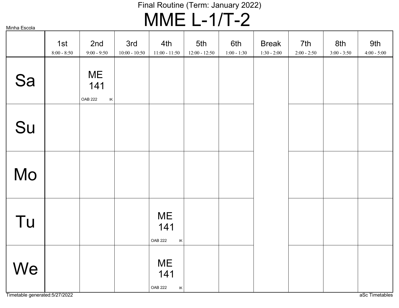## MME L-1/T-2

Minha Escola

|    | 1st<br>$8:00 - 8:50$ | 2nd<br>$9:00 - 9:50$                                                    | 3rd<br>$10:00 - 10:50$ | 4th<br>$11:00 - 11:50$                                                  | 5th<br>$12:00 - 12:50$ | 6th<br>$1:00 - 1:30$ | <b>Break</b><br>$1:30 - 2:00$ | 7th<br>$2:00 - 2:50$ | 8th<br>$3:00 - 3:50$ | 9th<br>$4:00 - 5:00$ |
|----|----------------------|-------------------------------------------------------------------------|------------------------|-------------------------------------------------------------------------|------------------------|----------------------|-------------------------------|----------------------|----------------------|----------------------|
| Sa |                      | <b>ME</b><br>141<br><b>OAB 222</b><br>$\ensuremath{\mathsf{IK}}\xspace$ |                        |                                                                         |                        |                      |                               |                      |                      |                      |
| Su |                      |                                                                         |                        |                                                                         |                        |                      |                               |                      |                      |                      |
| Mo |                      |                                                                         |                        |                                                                         |                        |                      |                               |                      |                      |                      |
| Tu |                      |                                                                         |                        | <b>ME</b><br>141<br><b>OAB 222</b><br>$\ensuremath{\mathsf{IK}}\xspace$ |                        |                      |                               |                      |                      |                      |
| We |                      |                                                                         |                        | <b>ME</b><br>141<br><b>OAB 222</b><br>$\ensuremath{\mathsf{IK}}\xspace$ |                        |                      |                               |                      |                      |                      |

Timetable generated:5/27/2022 as a set of the set of the set of the set of the set of the set of the set of the set of the set of the set of the set of the set of the set of the set of the set of the set of the set of the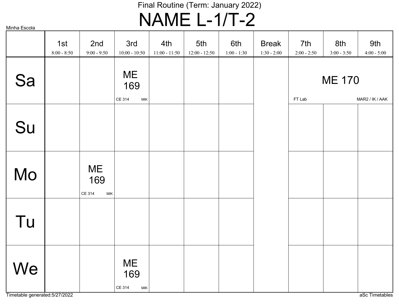## Final Routine (Term: January 2022) NAME L-1/T-2

Minha Escola

|    | 1st<br>$8:00 - 8:50$ | 2nd<br>$9:00 - 9:50$                                      | 3rd<br>$10:00 - 10:50$                       | 4th<br>$11:00 - 11:50$ | 5th<br>$12:00 - 12:50$ | 6th<br>$1:00 - 1:30$ | <b>Break</b><br>$1:30 - 2:00$ | 7th<br>$2:00 - 2:50$                       | 8th<br>$3:00 - 3:50$ | 9th<br>$4:00 - 5:00$ |
|----|----------------------|-----------------------------------------------------------|----------------------------------------------|------------------------|------------------------|----------------------|-------------------------------|--------------------------------------------|----------------------|----------------------|
| Sa |                      |                                                           | ME<br>169<br>CE 314<br>MIK                   |                        |                        |                      |                               | <b>ME 170</b><br>FT Lab<br>MAR2 / IK / AAK |                      |                      |
| Su |                      |                                                           |                                              |                        |                        |                      |                               |                                            |                      |                      |
| Mo |                      | <b>ME</b><br>169<br>CE 314<br>$\ensuremath{\mathsf{MIK}}$ |                                              |                        |                        |                      |                               |                                            |                      |                      |
| Tu |                      |                                                           |                                              |                        |                        |                      |                               |                                            |                      |                      |
| We |                      |                                                           | <b>ME</b><br>169<br>CE 314<br>$\textsf{MIK}$ |                        |                        |                      |                               |                                            |                      |                      |

Timetable generated:5/27/2022 as a set of the set of the set of the set of the set of the set of the set of the set of the set of the set of the set of the set of the set of the set of the set of the set of the set of the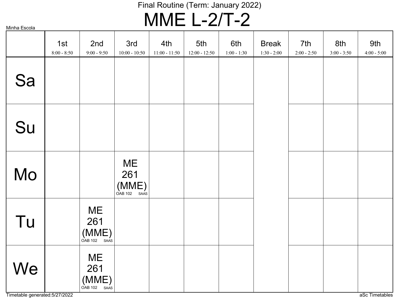## MME L-2/T-2

|    | 1st<br>$8:00 - 8:50$ | 2nd<br>$9:00 - 9:50$                     | 3rd<br>$10:00 - 10:50$                   | 4th<br>$11:00 - 11:50$ | 5th<br>$12:00 - 12:50$ | 6th<br>$1:00 - 1:30$ | <b>Break</b><br>$1:30 - 2:00$ | 7th<br>$2:00 - 2:50$ | 8th<br>$3:00 - 3:50$ | 9th<br>$4:00 - 5:00$ |
|----|----------------------|------------------------------------------|------------------------------------------|------------------------|------------------------|----------------------|-------------------------------|----------------------|----------------------|----------------------|
| Sa |                      |                                          |                                          |                        |                        |                      |                               |                      |                      |                      |
| Su |                      |                                          |                                          |                        |                        |                      |                               |                      |                      |                      |
| Mo |                      |                                          | <b>ME</b><br>261<br>$(MME)$ OAB 102 SAAS |                        |                        |                      |                               |                      |                      |                      |
| Tu |                      | <b>ME</b><br>261<br>$(MME)$ OAB 102 SAAS |                                          |                        |                        |                      |                               |                      |                      |                      |
| We |                      | <b>ME</b><br>261<br>$(MME)$ OAB 102 SAAS |                                          |                        |                        |                      |                               |                      |                      |                      |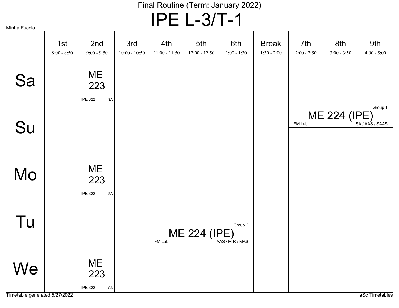IPE L-3/T-1

| Minha Escola |
|--------------|
|              |

|                                      | 1st<br>$8:00 - 8:50$ | 2nd<br>$9:00 - 9:50$                                             | 3rd<br>$10:00 - 10:50$ | 4th<br>$11:00 - 11:50$ | 5th<br>$12:00 - 12:50$ | 6th<br>$1:00 - 1:30$ | <b>Break</b><br>$1:30 - 2:00$ | 7th<br>$2:00 - 2:50$ | 8th<br>$3:00 - 3:50$ | 9th<br>$4:00 - 5:00$ |
|--------------------------------------|----------------------|------------------------------------------------------------------|------------------------|------------------------|------------------------|----------------------|-------------------------------|----------------------|----------------------|----------------------|
| Sa                                   |                      | ME<br>223<br><b>IPE 322</b><br>${\sf SA}$                        |                        |                        |                        |                      |                               |                      |                      |                      |
| Su                                   |                      |                                                                  |                        |                        |                        |                      |                               | FM Lab               | ME 224 (IPE)         | Group 1              |
| Mo                                   |                      | ME<br>223<br><b>IPE 322</b><br>SA                                |                        |                        |                        |                      |                               |                      |                      |                      |
| Tu                                   |                      |                                                                  |                        | FM Lab                 | ME 224 (IPE)           | Group 2              |                               |                      |                      |                      |
| We<br>Timetable generated: 5/27/2022 |                      | <b>ME</b><br>223<br><b>IPE 322</b><br>$\ensuremath{\mathsf{SA}}$ |                        |                        |                        |                      |                               |                      |                      | aSc Timetables       |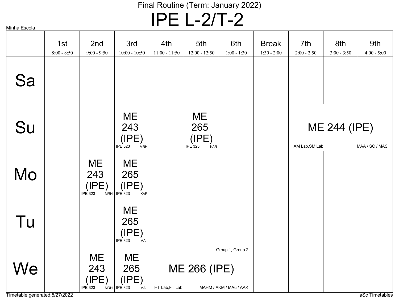IPE L-2/T-2

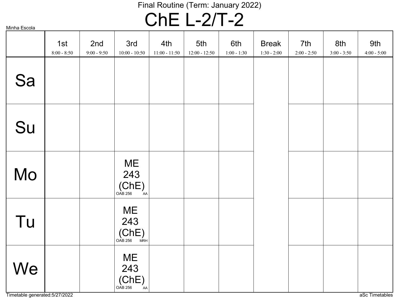## ChE L-2/T-2

|  | Minha Escola |
|--|--------------|
|  |              |

|    | 1st<br>$8:00 - 8:50$ | 2nd<br>$9:00 - 9:50$ | 3rd<br>$10:00 - 10:50$                     | 4th<br>$11:00 - 11:50$ | 5th<br>$12:00 - 12:50$ | 6th<br>$1:00 - 1:30$ | <b>Break</b><br>$1:30 - 2:00$ | 7th<br>$2:00 - 2:50$ | 8th<br>$3:00 - 3:50$ | 9th<br>$4:00 - 5:00$ |
|----|----------------------|----------------------|--------------------------------------------|------------------------|------------------------|----------------------|-------------------------------|----------------------|----------------------|----------------------|
| Sa |                      |                      |                                            |                        |                        |                      |                               |                      |                      |                      |
| Su |                      |                      |                                            |                        |                        |                      |                               |                      |                      |                      |
| Mo |                      |                      | <b>ME</b><br>243<br>(Che)<br>OAB 256<br>AA |                        |                        |                      |                               |                      |                      |                      |
| Tu |                      |                      | <b>ME</b><br>243<br>(Che)<br>OAB 256 MRH   |                        |                        |                      |                               |                      |                      |                      |
| We |                      |                      | <b>ME</b><br>243<br>(ChE)<br>OAB 256<br>AA |                        |                        |                      |                               |                      |                      |                      |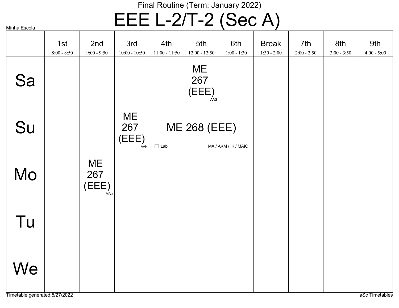# EEE L-2/T-2 (Sec A)

|    | 1st<br>$8:00 - 8:50$ | 2nd<br>$9:00 - 9:50$      | 3rd<br>$10:00 - 10:50$           | 4th<br>$11:00 - 11:50$ | 5th<br>$12:00 - 12:50$    | 6th<br>$1:00 - 1:30$ | <b>Break</b><br>$1:30 - 2:00$ | 7th<br>$2:00 - 2:50$ | 8th<br>$3:00 - 3:50$ | 9th<br>$4:00 - 5:00$ |
|----|----------------------|---------------------------|----------------------------------|------------------------|---------------------------|----------------------|-------------------------------|----------------------|----------------------|----------------------|
| Sa |                      |                           |                                  |                        | ME<br>267<br>(EEE)<br>AAS |                      |                               |                      |                      |                      |
| Su |                      |                           | <b>ME</b><br>267<br>(EEE)<br>AAK | FT Lab                 | <b>ME 268 (EEE)</b>       | MA / AKM / IK / MAIO |                               |                      |                      |                      |
| Mo |                      | ME<br>267<br>(EEE)<br>MAu |                                  |                        |                           |                      |                               |                      |                      |                      |
| Tu |                      |                           |                                  |                        |                           |                      |                               |                      |                      |                      |
| We |                      |                           |                                  |                        |                           |                      |                               |                      |                      |                      |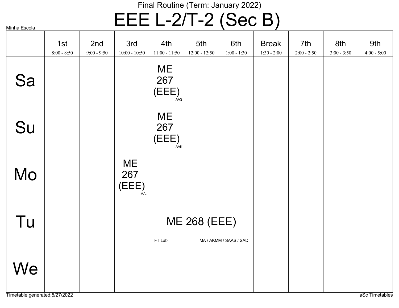# EEE L-2/T-2 (Sec B)

|    | 1st<br>$8:00 - 8:50$ | 2nd<br>$9:00 - 9:50$ | 3rd<br>$10:00 - 10:50$           | 4th<br>$11:00 - 11:50$    | 5th<br>$12:00 - 12:50$ | 6th<br>$1:00 - 1:30$   | <b>Break</b><br>$1:30 - 2:00$ | 7th<br>$2:00 - 2:50$ | 8th<br>$3:00 - 3:50$ | 9th<br>$4:00 - 5:00$ |
|----|----------------------|----------------------|----------------------------------|---------------------------|------------------------|------------------------|-------------------------------|----------------------|----------------------|----------------------|
| Sa |                      |                      |                                  | ME<br>267<br>(EEE)<br>AAS |                        |                        |                               |                      |                      |                      |
| Su |                      |                      |                                  | ME<br>267<br>(EEE)<br>AAK |                        |                        |                               |                      |                      |                      |
| Mo |                      |                      | <b>ME</b><br>267<br>(EEE)<br>MAu |                           |                        |                        |                               |                      |                      |                      |
| Tu |                      |                      |                                  | FT Lab                    | <b>ME 268 (EEE)</b>    | MA / AKMM / SAAS / SAD |                               |                      |                      |                      |
| We |                      |                      |                                  |                           |                        |                        |                               |                      |                      |                      |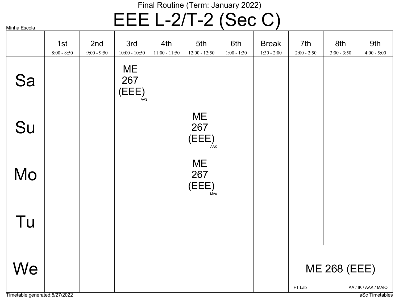## EEE L-2/T-2 (Sec C)

|                                      | 1st<br>$8:00 - 8:50$ | 2nd<br>$9:00 - 9:50$ | 3rd<br>$10:00 - 10:50$           | 4th<br>$11:00 - 11:50$ | 5th<br>$12:00 - 12:50$    | 6th<br>$1:00 - 1:30$ | <b>Break</b><br>$1:30 - 2:00$ | 7th<br>$2:00 - 2:50$ | 8th<br>$3:00 - 3:50$ | 9th<br>$4:00 - 5:00$                   |
|--------------------------------------|----------------------|----------------------|----------------------------------|------------------------|---------------------------|----------------------|-------------------------------|----------------------|----------------------|----------------------------------------|
| Sa                                   |                      |                      | <b>ME</b><br>267<br>(EEE)<br>AAS |                        |                           |                      |                               |                      |                      |                                        |
| Su                                   |                      |                      |                                  |                        | ME<br>267<br>(EEE)<br>AAK |                      |                               |                      |                      |                                        |
| Mo                                   |                      |                      |                                  |                        | ME<br>267<br>(EEE)<br>MAu |                      |                               |                      |                      |                                        |
| Tu                                   |                      |                      |                                  |                        |                           |                      |                               |                      |                      |                                        |
| We<br>Timetable generated: 5/27/2022 |                      |                      |                                  |                        |                           |                      |                               | FT Lab               | <b>ME 268 (EEE)</b>  | AA / IK / AAK / MAIO<br>aSc Timetables |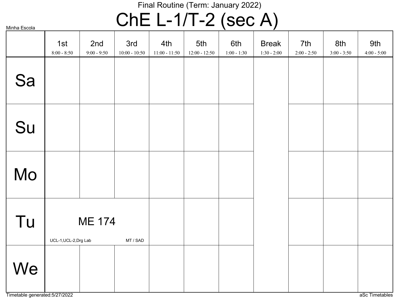# ChE L-1/T-2 (sec A)

| Minha Escola |                       |                      |                        |                        |                        | $\bullet$ = $\bullet$ = $\bullet$ $\bullet$ $\bullet$ |                               |                      |                      |                      |
|--------------|-----------------------|----------------------|------------------------|------------------------|------------------------|-------------------------------------------------------|-------------------------------|----------------------|----------------------|----------------------|
|              | 1st<br>$8:00 - 8:50$  | 2nd<br>$9:00 - 9:50$ | 3rd<br>$10:00 - 10:50$ | 4th<br>$11:00 - 11:50$ | 5th<br>$12:00 - 12:50$ | 6th<br>$1:00 - 1:30$                                  | <b>Break</b><br>$1:30 - 2:00$ | 7th<br>$2:00 - 2:50$ | 8th<br>$3:00 - 3:50$ | 9th<br>$4:00 - 5:00$ |
| Sa           |                       |                      |                        |                        |                        |                                                       |                               |                      |                      |                      |
| Su           |                       |                      |                        |                        |                        |                                                       |                               |                      |                      |                      |
| Mo           |                       |                      |                        |                        |                        |                                                       |                               |                      |                      |                      |
| Tu           | UCL-1, UCL-2, Drg Lab | <b>ME 174</b>        | MT / SAD               |                        |                        |                                                       |                               |                      |                      |                      |
| We           |                       |                      |                        |                        |                        |                                                       |                               |                      |                      |                      |

Timetable generated:5/27/2022 and the control of the control of the control of the control of the control of the control of the control of the control of the control of the control of the control of the control of the cont